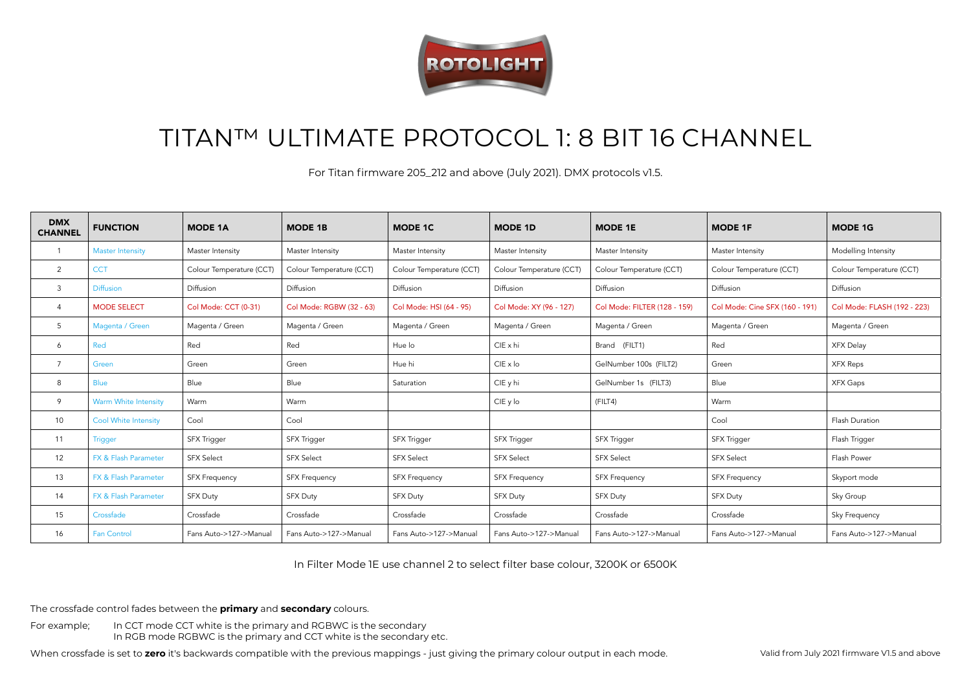

## TITAN™ ULTIMATE PROTOCOL 1: 8 BIT 16 CHANNEL

For Titan firmware 205\_212 and above (July 2021). DMX protocols v1.5.

| <b>DMX</b><br><b>CHANNEL</b> | <b>FUNCTION</b>             | <b>MODE 1A</b>           | <b>MODE 1B</b>           | <b>MODE 1C</b>           | <b>MODE 1D</b>           | <b>MODE 1E</b>               | <b>MODE 1F</b>                 | <b>MODE 1G</b>              |
|------------------------------|-----------------------------|--------------------------|--------------------------|--------------------------|--------------------------|------------------------------|--------------------------------|-----------------------------|
|                              | <b>Master Intensity</b>     | Master Intensity         | Master Intensity         | Master Intensity         | Master Intensity         | Master Intensity             | Master Intensity               | Modelling Intensity         |
| 2                            | <b>CCT</b>                  | Colour Temperature (CCT) | Colour Temperature (CCT) | Colour Temperature (CCT) | Colour Temperature (CCT) | Colour Temperature (CCT)     | Colour Temperature (CCT)       | Colour Temperature (CCT)    |
| $\mathbf{3}$                 | <b>Diffusion</b>            | Diffusion                | Diffusion                | Diffusion                | Diffusion                | Diffusion                    | Diffusion                      | Diffusion                   |
| $\overline{4}$               | <b>MODE SELECT</b>          | Col Mode: CCT (0-31)     | Col Mode: RGBW (32 - 63) | Col Mode: HSI (64 - 95)  | Col Mode: XY (96 - 127)  | Col Mode: FILTER (128 - 159) | Col Mode: Cine SFX (160 - 191) | Col Mode: FLASH (192 - 223) |
| 5                            | Magenta / Green             | Magenta / Green          | Magenta / Green          | Magenta / Green          | Magenta / Green          | Magenta / Green              | Magenta / Green                | Magenta / Green             |
| 6                            | Red                         | Red                      | Red                      | Hue lo                   | $CIE \times hi$          | Brand (FILT1)                | Red                            | XFX Delay                   |
| $\overline{7}$               | Green                       | Green                    | Green                    | Hue hi                   | $CIE \times Io$          | GelNumber 100s (FILT2)       | Green                          | <b>XFX Reps</b>             |
| 8                            | <b>Blue</b>                 | Blue                     | Blue                     | Saturation               | CIE y hi                 | GelNumber 1s (FILT3)         | Blue                           | XFX Gaps                    |
| 9                            | Warm White Intensity        | Warm                     | Warm                     |                          | CIE y lo                 | (FILT4)                      | Warm                           |                             |
| 10                           | <b>Cool White Intensity</b> | Cool                     | Cool                     |                          |                          |                              | Cool                           | Flash Duration              |
| 11                           | Trigger                     | <b>SFX Trigger</b>       | <b>SFX Trigger</b>       | <b>SFX Trigger</b>       | SFX Trigger              | SFX Trigger                  | SFX Trigger                    | Flash Trigger               |
| 12                           | FX & Flash Parameter        | <b>SFX Select</b>        | <b>SFX Select</b>        | <b>SFX Select</b>        | <b>SFX Select</b>        | <b>SFX Select</b>            | <b>SFX Select</b>              | Flash Power                 |
| 13                           | FX & Flash Parameter        | <b>SFX Frequency</b>     | <b>SFX Frequency</b>     | <b>SFX Frequency</b>     | <b>SFX Frequency</b>     | <b>SFX Frequency</b>         | <b>SFX Frequency</b>           | Skyport mode                |
| 14                           | FX & Flash Parameter        | <b>SFX Duty</b>          | <b>SFX Duty</b>          | <b>SFX Duty</b>          | <b>SFX Duty</b>          | <b>SFX Duty</b>              | <b>SFX Duty</b>                | Sky Group                   |
| 15                           | Crossfade                   | Crossfade                | Crossfade                | Crossfade                | Crossfade                | Crossfade                    | Crossfade                      | Sky Frequency               |
| 16                           | <b>Fan Control</b>          | Fans Auto->127->Manual   | Fans Auto->127->Manual   | Fans Auto->127->Manual   | Fans Auto->127->Manual   | Fans Auto->127->Manual       | Fans Auto->127->Manual         | Fans Auto->127->Manual      |

In Filter Mode 1E use channel 2 to select filter base colour, 3200K or 6500K

The crossfade control fades between the **primary** and **secondary** colours.

For example; In CCT mode CCT white is the primary and RGBWC is the secondary In RGB mode RGBWC is the primary and CCT white is the secondary etc.

When crossfade is set to **zero** it's backwards compatible with the previous mappings - just giving the primary colour output in each mode.